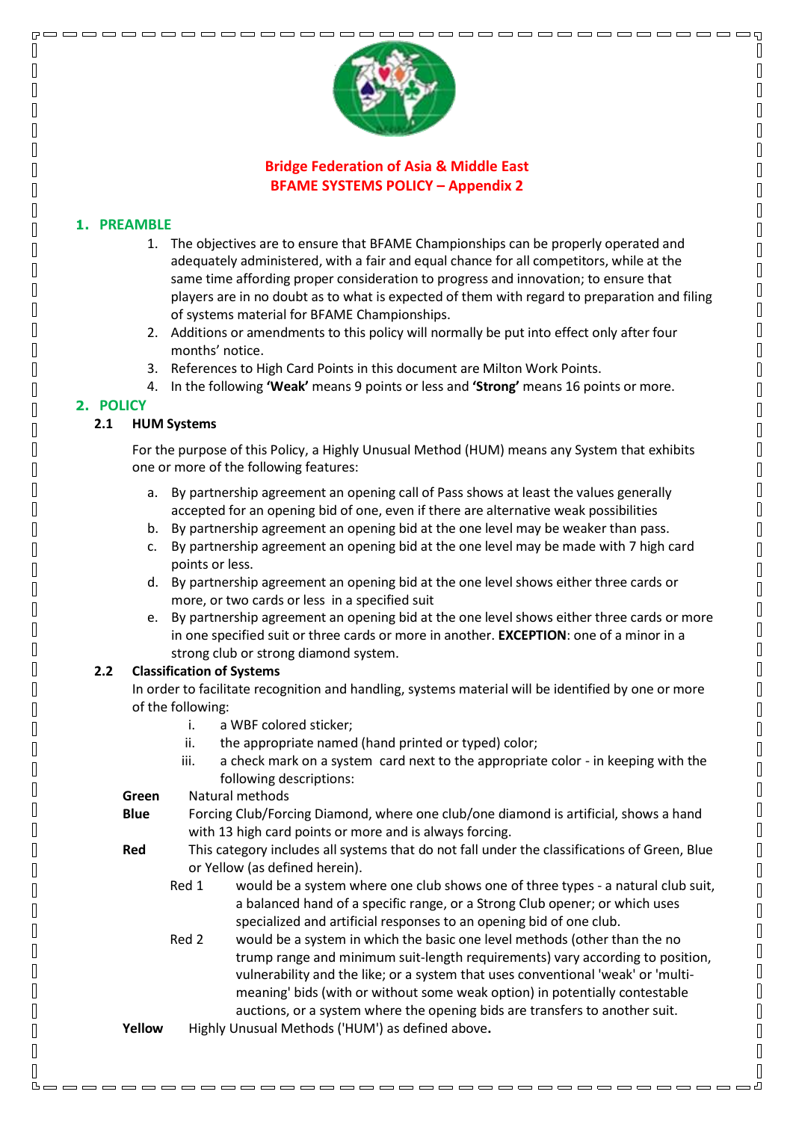

 $\overline{a}$ 

 $\mathbb{I}$ 

 $\sqrt{2}$  $\begin{bmatrix} 1 \\ 2 \end{bmatrix}$ 

 $\sqrt{2}$  $\sqrt{ }$ 

 $\begin{bmatrix} 1 \\ 2 \end{bmatrix}$  $\sqrt{ }$ 

 $\begin{bmatrix} 1 \\ 2 \end{bmatrix}$ 

 $\begin{bmatrix} 1 \\ 2 \end{bmatrix}$ 

 $\sqrt{ }$ 

 $\sqrt{2}$ 

 $\begin{bmatrix} 1 \\ 2 \end{bmatrix}$ 

 $\begin{bmatrix} 1 \\ 2 \end{bmatrix}$ 

 $\begin{bmatrix} 1 \\ 2 \end{bmatrix}$ 

 $\begin{bmatrix} 1 \\ 2 \end{bmatrix}$ 

 $\sqrt{2}$ 

 $\begin{bmatrix} 1 \\ 2 \end{bmatrix}$ 

 $\begin{bmatrix} 1 \\ 2 \end{bmatrix}$ 

 $\sqrt{ }$ 

 $\begin{bmatrix} 1 \\ 2 \end{bmatrix}$  $\begin{bmatrix} 1 \\ 2 \end{bmatrix}$ 

 $\sqrt{ }$  $\sqrt{2}$ 

 $\begin{bmatrix} 1 \\ 2 \end{bmatrix}$ 

 $\Box$  $\sqrt{2}$ 

 $\begin{bmatrix} 1 \\ 2 \end{bmatrix}$ 

 $\begin{bmatrix} 1 \\ 2 \end{bmatrix}$  $\begin{bmatrix} 1 \\ 2 \end{bmatrix}$ 

 $\hfill\Box$  $\overline{\Pi}$ 

 $\Box$ 

 $\hfill\Box$ 

 $\overline{\mathbb{R}}$ 

 $\Box$ 

 $\hfill\Box$  $\sqrt{2}$ 

 $\begin{bmatrix} 1 \\ 2 \end{bmatrix}$  $\overline{\mathbb{R}}$ 

 $\sqrt{2}$ 

 $\begin{bmatrix} 1 \\ 2 \end{bmatrix}$ 

 $\begin{bmatrix} 1 \\ 1 \end{bmatrix}$  $\sqrt{2}$ 

 $\sqrt{2}$  $\overline{\mathbb{R}}$ 

 $\begin{bmatrix} \phantom{-} \end{bmatrix}$ 

 $\begin{bmatrix} 1 \\ 2 \end{bmatrix}$ 

 $\overline{\mathbb{R}}$ 

 $\hfill\Box$ 

 $\overline{\mathbb{R}}$ 

 $\mathbb{I}$ 

# **Bridge Federation of Asia & Middle East BFAME SYSTEMS POLICY – Appendix 2**

### **1. PREAMBLE**

Л

 $\sqrt{ }$ 

Л

 $\overline{\Pi}$ П

 $\sqrt{ }$ 

 $\overline{\Pi}$ 

Л

Π

Π

Π

Π

Π

 $\sqrt{ }$ 

Π

Л

 $\sqrt{ }$ Π

 $\sqrt{2}$ 

 $\sqrt{ }$ Π

> Π Π

> Π

Π Π

 $\overline{\Pi}$ 

Π  $\mathsf{\Pi}$ 

 $\overline{\Pi}$ 

Π

Π

 $\overline{\Pi}$ 

Π  $\overline{\Pi}$ 

Π

 $\overline{\Pi}$ 

П

O  $\overline{\Pi}$ 

 $\overline{\Pi}$ 

 $\overline{\mathsf{I}}$ 

 $\mathsf{\Pi}$ 

 $\overline{\Pi}$ 

 $\mathsf{\Pi}$ 

 $\mathsf{\Pi}$ 

 $\sqrt{ }$  $\mathbb{I}$ 

Π

- 1. The objectives are to ensure that BFAME Championships can be properly operated and adequately administered, with a fair and equal chance for all competitors, while at the same time affording proper consideration to progress and innovation; to ensure that players are in no doubt as to what is expected of them with regard to preparation and filing of systems material for BFAME Championships.
- 2. Additions or amendments to this policy will normally be put into effect only after four months' notice.
- 3. References to High Card Points in this document are Milton Work Points.
- 4. In the following **'Weak'** means 9 points or less and **'Strong'** means 16 points or more.

## **2. POLICY**

### **2.1 HUM Systems**

For the purpose of this Policy, a Highly Unusual Method (HUM) means any System that exhibits one or more of the following features:

- a. By partnership agreement an opening call of Pass shows at least the values generally accepted for an opening bid of one, even if there are alternative weak possibilities
- b. By partnership agreement an opening bid at the one level may be weaker than pass.
- c. By partnership agreement an opening bid at the one level may be made with 7 high card points or less.
- d. By partnership agreement an opening bid at the one level shows either three cards or more, or two cards or less in a specified suit
- e. By partnership agreement an opening bid at the one level shows either three cards or more in one specified suit or three cards or more in another. **EXCEPTION**: one of a minor in a strong club or strong diamond system.

## **2.2 Classification of Systems**

In order to facilitate recognition and handling, systems material will be identified by one or more of the following:

- i. a WBF colored sticker;
- ii. the appropriate named (hand printed or typed) color;
- iii. a check mark on a system card next to the appropriate color in keeping with the following descriptions:
- **Green** Natural methods
- **Blue** Forcing Club/Forcing Diamond, where one club/one diamond is artificial, shows a hand with 13 high card points or more and is always forcing.
- **Red** This category includes all systems that do not fall under the classifications of Green, Blue or Yellow (as defined herein).
	- Red 1 would be a system where one club shows one of three types a natural club suit, a balanced hand of a specific range, or a Strong Club opener; or which uses specialized and artificial responses to an opening bid of one club.
	- Red 2 would be a system in which the basic one level methods (other than the no trump range and minimum suit-length requirements) vary according to position, vulnerability and the like; or a system that uses conventional 'weak' or 'multimeaning' bids (with or without some weak option) in potentially contestable auctions, or a system where the opening bids are transfers to another suit.

<u>booooooooooooooooooooooooooooooooo</u>

**Yellow** Highly Unusual Methods ('HUM') as defined above**.**